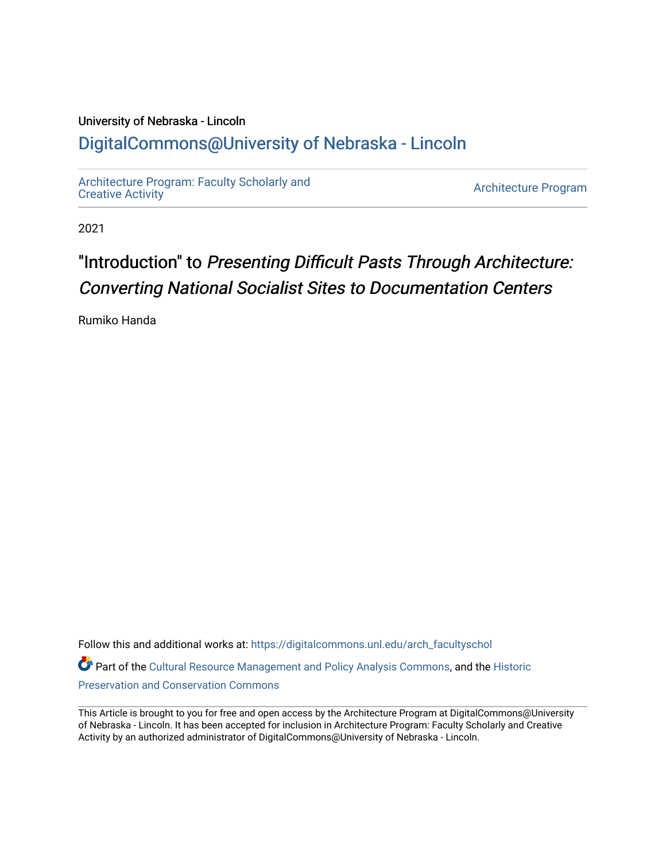### University of Nebraska - Lincoln [DigitalCommons@University of Nebraska - Lincoln](https://digitalcommons.unl.edu/)

[Architecture Program: Faculty Scholarly and](https://digitalcommons.unl.edu/arch_facultyschol)  [Creative Activity](https://digitalcommons.unl.edu/arch_facultyschol) [Architecture Program](https://digitalcommons.unl.edu/arch_arch) 

2021

# "Introduction" to Presenting Difficult Pasts Through Architecture: Converting National Socialist Sites to Documentation Centers

Rumiko Handa

Follow this and additional works at: [https://digitalcommons.unl.edu/arch\\_facultyschol](https://digitalcommons.unl.edu/arch_facultyschol?utm_source=digitalcommons.unl.edu%2Farch_facultyschol%2F54&utm_medium=PDF&utm_campaign=PDFCoverPages)  Part of the [Cultural Resource Management and Policy Analysis Commons,](http://network.bepress.com/hgg/discipline/782?utm_source=digitalcommons.unl.edu%2Farch_facultyschol%2F54&utm_medium=PDF&utm_campaign=PDFCoverPages) and the [Historic](http://network.bepress.com/hgg/discipline/781?utm_source=digitalcommons.unl.edu%2Farch_facultyschol%2F54&utm_medium=PDF&utm_campaign=PDFCoverPages) [Preservation and Conservation Commons](http://network.bepress.com/hgg/discipline/781?utm_source=digitalcommons.unl.edu%2Farch_facultyschol%2F54&utm_medium=PDF&utm_campaign=PDFCoverPages) 

This Article is brought to you for free and open access by the Architecture Program at DigitalCommons@University of Nebraska - Lincoln. It has been accepted for inclusion in Architecture Program: Faculty Scholarly and Creative Activity by an authorized administrator of DigitalCommons@University of Nebraska - Lincoln.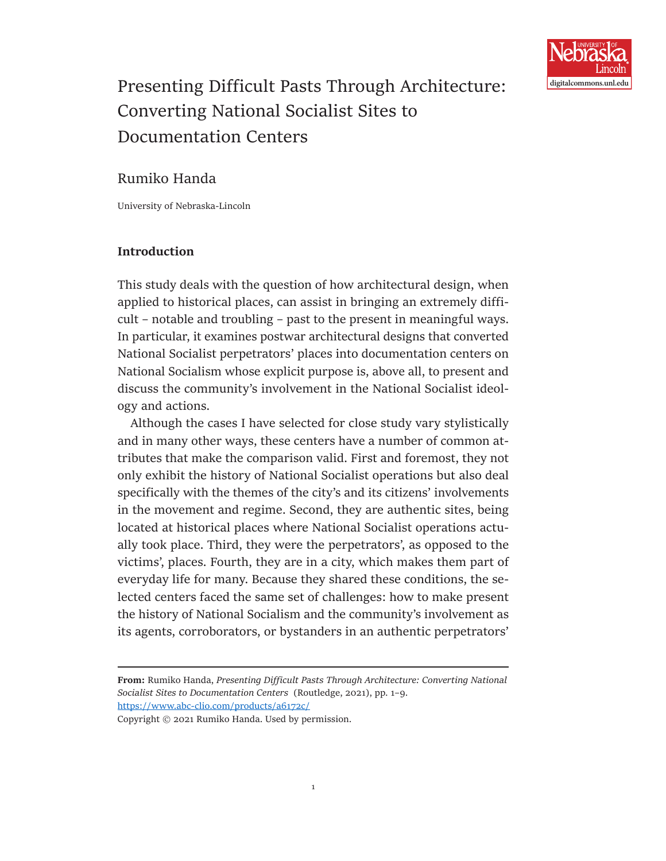

## Presenting Difficult Pasts Through Architecture: Converting National Socialist Sites to Documentation Centers

### Rumiko Handa

University of Nebraska-Lincoln

#### **Introduction**

This study deals with the question of how architectural design, when applied to historical places, can assist in bringing an extremely difficult – notable and troubling – past to the present in meaningful ways. In particular, it examines postwar architectural designs that converted National Socialist perpetrators' places into documentation centers on National Socialism whose explicit purpose is, above all, to present and discuss the community's involvement in the National Socialist ideology and actions.

Although the cases I have selected for close study vary stylistically and in many other ways, these centers have a number of common attributes that make the comparison valid. First and foremost, they not only exhibit the history of National Socialist operations but also deal specifically with the themes of the city's and its citizens' involvements in the movement and regime. Second, they are authentic sites, being located at historical places where National Socialist operations actually took place. Third, they were the perpetrators', as opposed to the victims', places. Fourth, they are in a city, which makes them part of everyday life for many. Because they shared these conditions, the selected centers faced the same set of challenges: how to make present the history of National Socialism and the community's involvement as its agents, corroborators, or bystanders in an authentic perpetrators'

- **From:** Rumiko Handa, *Presenting Difficult Pasts Through Architecture: Converting National Socialist Sites to Documentation Centers* (Routledge, 2021), pp. 1–9. <https://www.abc-clio.com/products/a6172c/>
- Copyright © 2021 Rumiko Handa. Used by permission.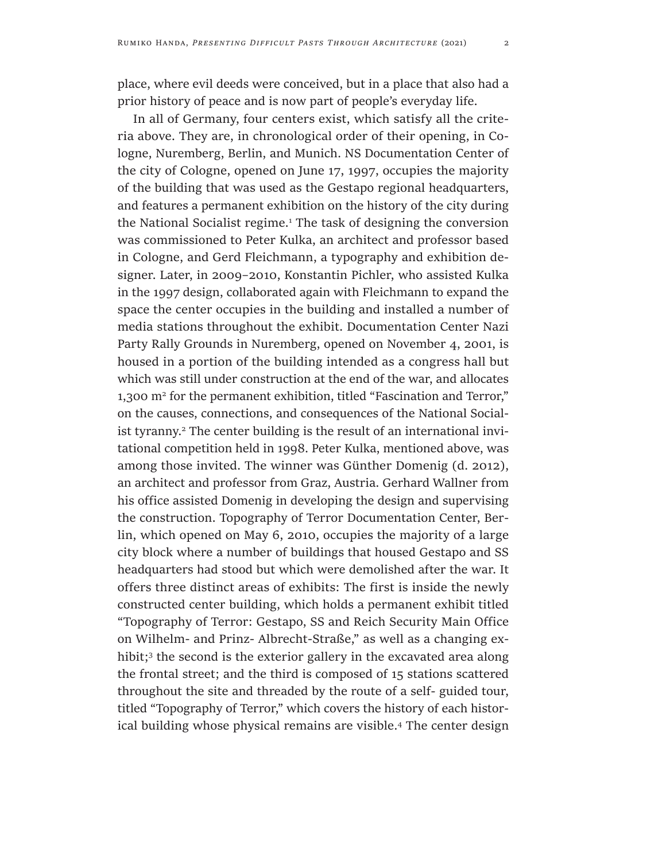place, where evil deeds were conceived, but in a place that also had a prior history of peace and is now part of people's everyday life.

In all of Germany, four centers exist, which satisfy all the criteria above. They are, in chronological order of their opening, in Cologne, Nuremberg, Berlin, and Munich. NS Documentation Center of the city of Cologne, opened on June 17, 1997, occupies the majority of the building that was used as the Gestapo regional headquarters, and features a permanent exhibition on the history of the city during the National Socialist regime.<sup>1</sup> The task of designing the conversion was commissioned to Peter Kulka, an architect and professor based in Cologne, and Gerd Fleichmann, a typography and exhibition designer. Later, in 2009–2010, Konstantin Pichler, who assisted Kulka in the 1997 design, collaborated again with Fleichmann to expand the space the center occupies in the building and installed a number of media stations throughout the exhibit. Documentation Center Nazi Party Rally Grounds in Nuremberg, opened on November 4, 2001, is housed in a portion of the building intended as a congress hall but which was still under construction at the end of the war, and allocates 1,300 m2 for the permanent exhibition, titled "Fascination and Terror," on the causes, connections, and consequences of the National Socialist tyranny.<sup>2</sup> The center building is the result of an international invitational competition held in 1998. Peter Kulka, mentioned above, was among those invited. The winner was Günther Domenig (d. 2012), an architect and professor from Graz, Austria. Gerhard Wallner from his office assisted Domenig in developing the design and supervising the construction. Topography of Terror Documentation Center, Berlin, which opened on May 6, 2010, occupies the majority of a large city block where a number of buildings that housed Gestapo and SS headquarters had stood but which were demolished after the war. It offers three distinct areas of exhibits: The first is inside the newly constructed center building, which holds a permanent exhibit titled "Topography of Terror: Gestapo, SS and Reich Security Main Office on Wilhelm- and Prinz- Albrecht-Straße," as well as a changing exhibit;<sup>3</sup> the second is the exterior gallery in the excavated area along the frontal street; and the third is composed of 15 stations scattered throughout the site and threaded by the route of a self- guided tour, titled "Topography of Terror," which covers the history of each historical building whose physical remains are visible.<sup>4</sup> The center design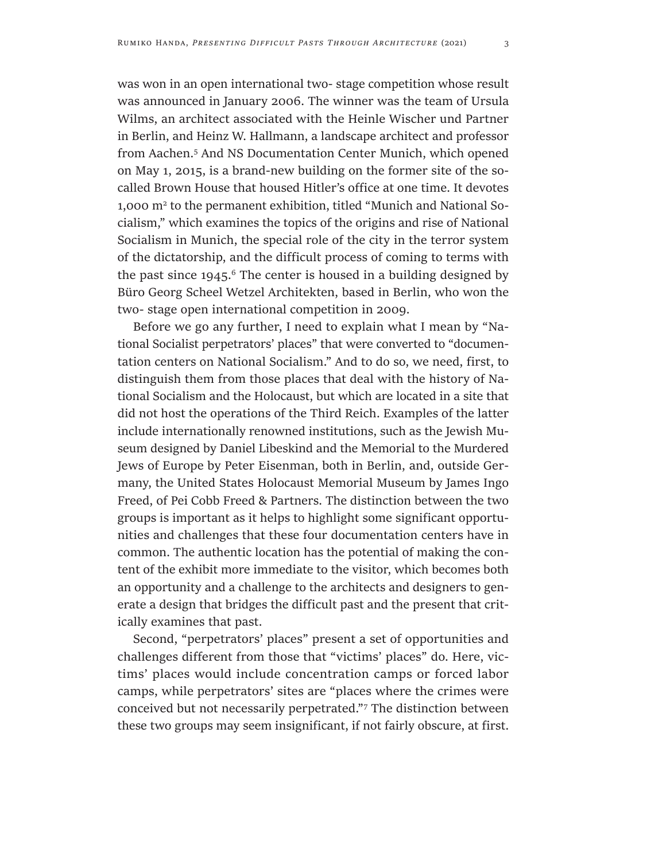was won in an open international two- stage competition whose result was announced in January 2006. The winner was the team of Ursula Wilms, an architect associated with the Heinle Wischer und Partner in Berlin, and Heinz W. Hallmann, a landscape architect and professor from Aachen.5 And NS Documentation Center Munich, which opened on May 1, 2015, is a brand-new building on the former site of the socalled Brown House that housed Hitler's office at one time. It devotes 1,000 m2 to the permanent exhibition, titled "Munich and National Socialism," which examines the topics of the origins and rise of National Socialism in Munich, the special role of the city in the terror system of the dictatorship, and the difficult process of coming to terms with the past since  $1945$ .<sup>6</sup> The center is housed in a building designed by Büro Georg Scheel Wetzel Architekten, based in Berlin, who won the two- stage open international competition in 2009.

Before we go any further, I need to explain what I mean by "National Socialist perpetrators' places" that were converted to "documentation centers on National Socialism." And to do so, we need, first, to distinguish them from those places that deal with the history of National Socialism and the Holocaust, but which are located in a site that did not host the operations of the Third Reich. Examples of the latter include internationally renowned institutions, such as the Jewish Museum designed by Daniel Libeskind and the Memorial to the Murdered Jews of Europe by Peter Eisenman, both in Berlin, and, outside Germany, the United States Holocaust Memorial Museum by James Ingo Freed, of Pei Cobb Freed & Partners. The distinction between the two groups is important as it helps to highlight some significant opportunities and challenges that these four documentation centers have in common. The authentic location has the potential of making the content of the exhibit more immediate to the visitor, which becomes both an opportunity and a challenge to the architects and designers to generate a design that bridges the difficult past and the present that critically examines that past.

Second, "perpetrators' places" present a set of opportunities and challenges different from those that "victims' places" do. Here, victims' places would include concentration camps or forced labor camps, while perpetrators' sites are "places where the crimes were conceived but not necessarily perpetrated."7 The distinction between these two groups may seem insignificant, if not fairly obscure, at first.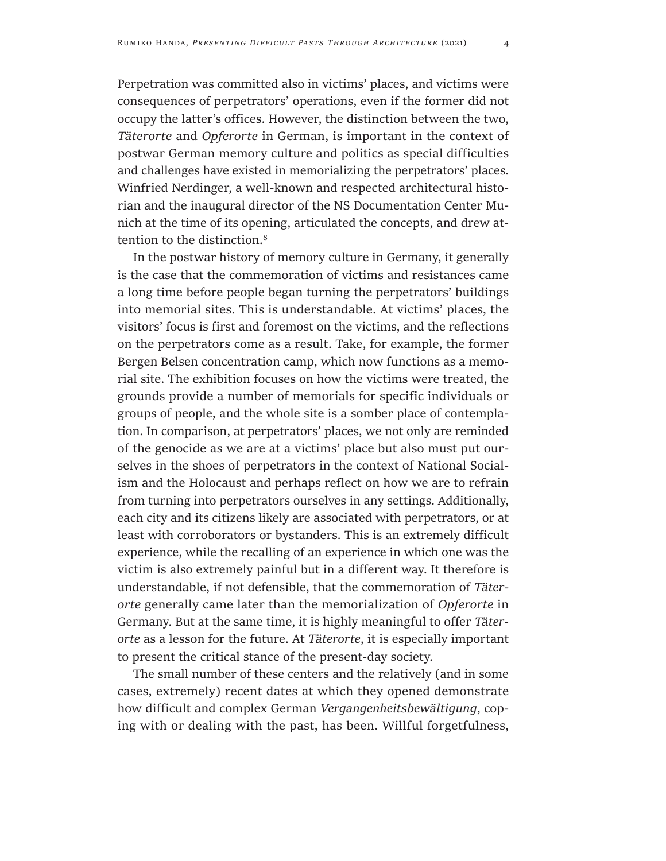Perpetration was committed also in victims' places, and victims were consequences of perpetrators' operations, even if the former did not occupy the latter's offices. However, the distinction between the two, *Täterorte* and *Opferorte* in German, is important in the context of postwar German memory culture and politics as special difficulties and challenges have existed in memorializing the perpetrators' places. Winfried Nerdinger, a well-known and respected architectural historian and the inaugural director of the NS Documentation Center Munich at the time of its opening, articulated the concepts, and drew attention to the distinction.<sup>8</sup>

In the postwar history of memory culture in Germany, it generally is the case that the commemoration of victims and resistances came a long time before people began turning the perpetrators' buildings into memorial sites. This is understandable. At victims' places, the visitors' focus is first and foremost on the victims, and the reflections on the perpetrators come as a result. Take, for example, the former Bergen Belsen concentration camp, which now functions as a memorial site. The exhibition focuses on how the victims were treated, the grounds provide a number of memorials for specific individuals or groups of people, and the whole site is a somber place of contemplation. In comparison, at perpetrators' places, we not only are reminded of the genocide as we are at a victims' place but also must put ourselves in the shoes of perpetrators in the context of National Socialism and the Holocaust and perhaps reflect on how we are to refrain from turning into perpetrators ourselves in any settings. Additionally, each city and its citizens likely are associated with perpetrators, or at least with corroborators or bystanders. This is an extremely difficult experience, while the recalling of an experience in which one was the victim is also extremely painful but in a different way. It therefore is understandable, if not defensible, that the commemoration of *Täterorte* generally came later than the memorialization of *Opferorte* in Germany. But at the same time, it is highly meaningful to offer *Täterorte* as a lesson for the future. At *Täterorte*, it is especially important to present the critical stance of the present-day society.

The small number of these centers and the relatively (and in some cases, extremely) recent dates at which they opened demonstrate how difficult and complex German *Vergangenheitsbewältigung*, coping with or dealing with the past, has been. Willful forgetfulness,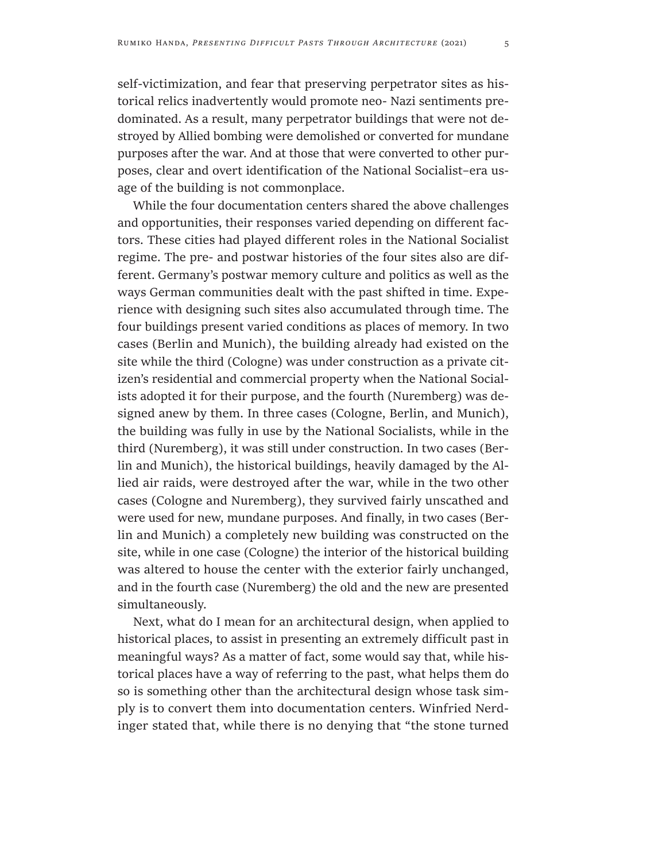self-victimization, and fear that preserving perpetrator sites as historical relics inadvertently would promote neo- Nazi sentiments predominated. As a result, many perpetrator buildings that were not destroyed by Allied bombing were demolished or converted for mundane purposes after the war. And at those that were converted to other purposes, clear and overt identification of the National Socialist–era usage of the building is not commonplace.

While the four documentation centers shared the above challenges and opportunities, their responses varied depending on different factors. These cities had played different roles in the National Socialist regime. The pre- and postwar histories of the four sites also are different. Germany's postwar memory culture and politics as well as the ways German communities dealt with the past shifted in time. Experience with designing such sites also accumulated through time. The four buildings present varied conditions as places of memory. In two cases (Berlin and Munich), the building already had existed on the site while the third (Cologne) was under construction as a private citizen's residential and commercial property when the National Socialists adopted it for their purpose, and the fourth (Nuremberg) was designed anew by them. In three cases (Cologne, Berlin, and Munich), the building was fully in use by the National Socialists, while in the third (Nuremberg), it was still under construction. In two cases (Berlin and Munich), the historical buildings, heavily damaged by the Allied air raids, were destroyed after the war, while in the two other cases (Cologne and Nuremberg), they survived fairly unscathed and were used for new, mundane purposes. And finally, in two cases (Berlin and Munich) a completely new building was constructed on the site, while in one case (Cologne) the interior of the historical building was altered to house the center with the exterior fairly unchanged, and in the fourth case (Nuremberg) the old and the new are presented simultaneously.

Next, what do I mean for an architectural design, when applied to historical places, to assist in presenting an extremely difficult past in meaningful ways? As a matter of fact, some would say that, while historical places have a way of referring to the past, what helps them do so is something other than the architectural design whose task simply is to convert them into documentation centers. Winfried Nerdinger stated that, while there is no denying that "the stone turned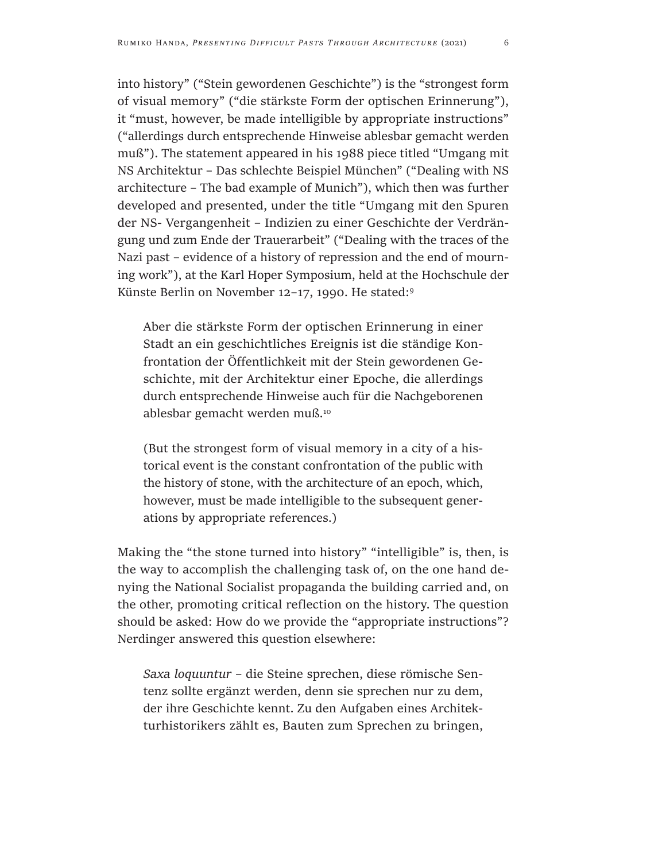into history" ("Stein gewordenen Geschichte") is the "strongest form of visual memory" ("die stärkste Form der optischen Erinnerung"), it "must, however, be made intelligible by appropriate instructions" ("allerdings durch entsprechende Hinweise ablesbar gemacht werden muß"). The statement appeared in his 1988 piece titled "Umgang mit NS Architektur – Das schlechte Beispiel München" ("Dealing with NS architecture – The bad example of Munich"), which then was further developed and presented, under the title "Umgang mit den Spuren der NS- Vergangenheit – Indizien zu einer Geschichte der Verdrängung und zum Ende der Trauerarbeit" ("Dealing with the traces of the Nazi past – evidence of a history of repression and the end of mourning work"), at the Karl Hoper Symposium, held at the Hochschule der Künste Berlin on November 12–17, 1990. He stated:9

Aber die stärkste Form der optischen Erinnerung in einer Stadt an ein geschichtliches Ereignis ist die ständige Konfrontation der Öffentlichkeit mit der Stein gewordenen Geschichte, mit der Architektur einer Epoche, die allerdings durch entsprechende Hinweise auch für die Nachgeborenen ablesbar gemacht werden muß.10

(But the strongest form of visual memory in a city of a historical event is the constant confrontation of the public with the history of stone, with the architecture of an epoch, which, however, must be made intelligible to the subsequent generations by appropriate references.)

Making the "the stone turned into history" "intelligible" is, then, is the way to accomplish the challenging task of, on the one hand denying the National Socialist propaganda the building carried and, on the other, promoting critical reflection on the history. The question should be asked: How do we provide the "appropriate instructions"? Nerdinger answered this question elsewhere:

*Saxa loquuntur* – die Steine sprechen, diese römische Sentenz sollte ergänzt werden, denn sie sprechen nur zu dem, der ihre Geschichte kennt. Zu den Aufgaben eines Architekturhistorikers zählt es, Bauten zum Sprechen zu bringen,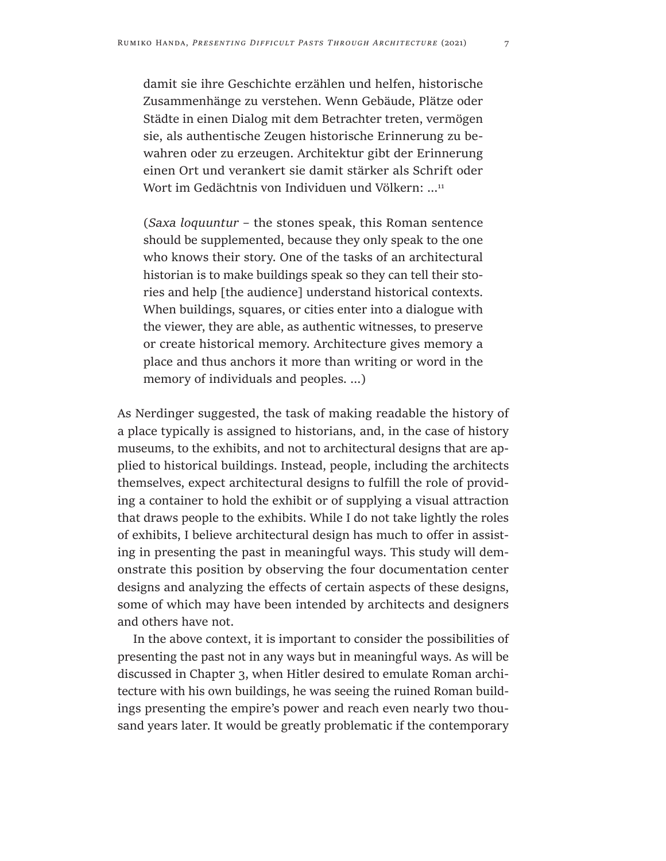damit sie ihre Geschichte erzählen und helfen, historische Zusammenhänge zu verstehen. Wenn Gebäude, Plätze oder Städte in einen Dialog mit dem Betrachter treten, vermögen sie, als authentische Zeugen historische Erinnerung zu bewahren oder zu erzeugen. Architektur gibt der Erinnerung einen Ort und verankert sie damit stärker als Schrift oder Wort im Gedächtnis von Individuen und Völkern: …<sup>11</sup>

(*Saxa loquuntur* – the stones speak, this Roman sentence should be supplemented, because they only speak to the one who knows their story. One of the tasks of an architectural historian is to make buildings speak so they can tell their stories and help [the audience] understand historical contexts. When buildings, squares, or cities enter into a dialogue with the viewer, they are able, as authentic witnesses, to preserve or create historical memory. Architecture gives memory a place and thus anchors it more than writing or word in the memory of individuals and peoples. …)

As Nerdinger suggested, the task of making readable the history of a place typically is assigned to historians, and, in the case of history museums, to the exhibits, and not to architectural designs that are applied to historical buildings. Instead, people, including the architects themselves, expect architectural designs to fulfill the role of providing a container to hold the exhibit or of supplying a visual attraction that draws people to the exhibits. While I do not take lightly the roles of exhibits, I believe architectural design has much to offer in assisting in presenting the past in meaningful ways. This study will demonstrate this position by observing the four documentation center designs and analyzing the effects of certain aspects of these designs, some of which may have been intended by architects and designers and others have not.

In the above context, it is important to consider the possibilities of presenting the past not in any ways but in meaningful ways. As will be discussed in Chapter 3, when Hitler desired to emulate Roman architecture with his own buildings, he was seeing the ruined Roman buildings presenting the empire's power and reach even nearly two thousand years later. It would be greatly problematic if the contemporary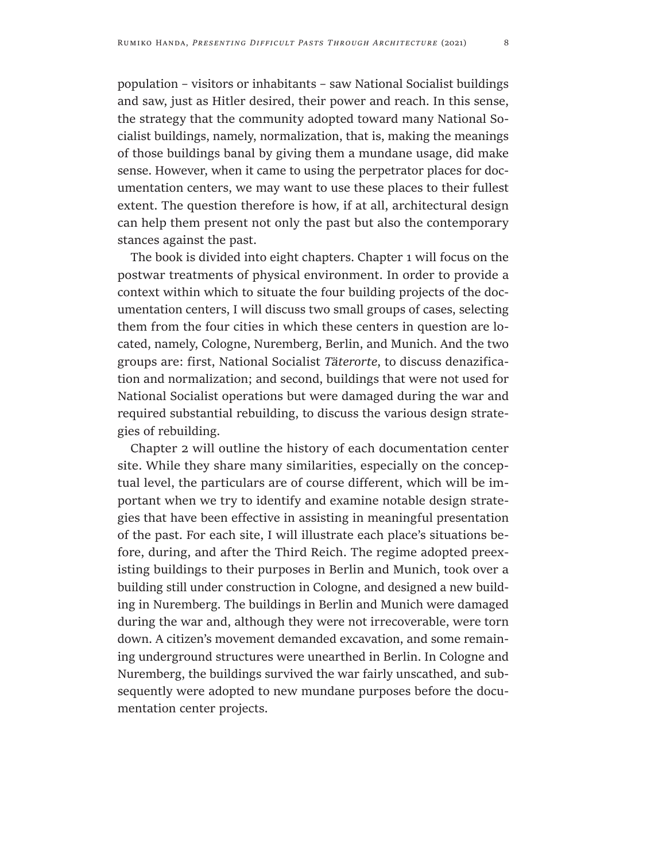population – visitors or inhabitants – saw National Socialist buildings and saw, just as Hitler desired, their power and reach. In this sense, the strategy that the community adopted toward many National Socialist buildings, namely, normalization, that is, making the meanings of those buildings banal by giving them a mundane usage, did make sense. However, when it came to using the perpetrator places for documentation centers, we may want to use these places to their fullest extent. The question therefore is how, if at all, architectural design can help them present not only the past but also the contemporary stances against the past.

The book is divided into eight chapters. Chapter 1 will focus on the postwar treatments of physical environment. In order to provide a context within which to situate the four building projects of the documentation centers, I will discuss two small groups of cases, selecting them from the four cities in which these centers in question are located, namely, Cologne, Nuremberg, Berlin, and Munich. And the two groups are: first, National Socialist *Täterorte*, to discuss denazification and normalization; and second, buildings that were not used for National Socialist operations but were damaged during the war and required substantial rebuilding, to discuss the various design strategies of rebuilding.

Chapter 2 will outline the history of each documentation center site. While they share many similarities, especially on the conceptual level, the particulars are of course different, which will be important when we try to identify and examine notable design strategies that have been effective in assisting in meaningful presentation of the past. For each site, I will illustrate each place's situations before, during, and after the Third Reich. The regime adopted preexisting buildings to their purposes in Berlin and Munich, took over a building still under construction in Cologne, and designed a new building in Nuremberg. The buildings in Berlin and Munich were damaged during the war and, although they were not irrecoverable, were torn down. A citizen's movement demanded excavation, and some remaining underground structures were unearthed in Berlin. In Cologne and Nuremberg, the buildings survived the war fairly unscathed, and subsequently were adopted to new mundane purposes before the documentation center projects.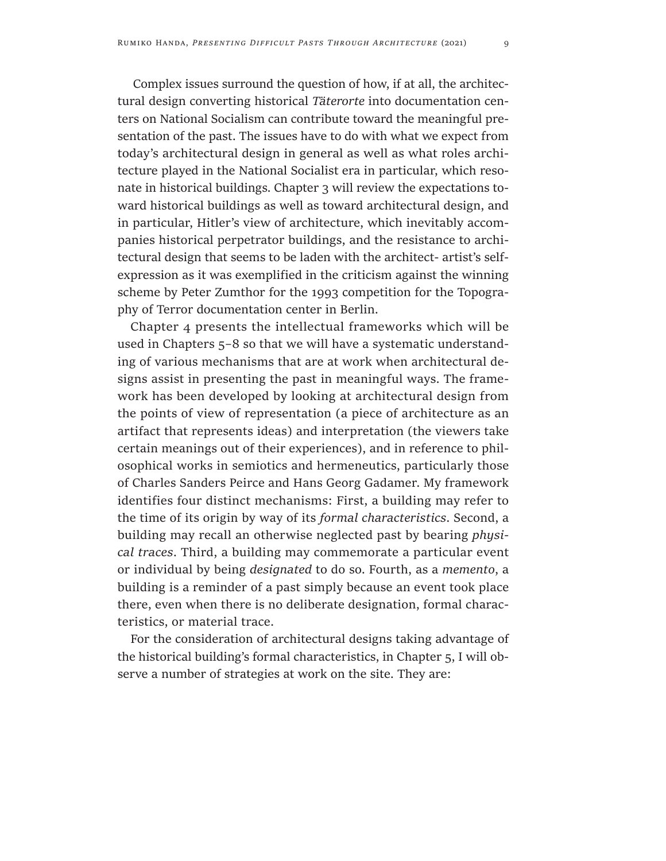Complex issues surround the question of how, if at all, the architectural design converting historical *Täterorte* into documentation centers on National Socialism can contribute toward the meaningful presentation of the past. The issues have to do with what we expect from today's architectural design in general as well as what roles architecture played in the National Socialist era in particular, which resonate in historical buildings. Chapter 3 will review the expectations toward historical buildings as well as toward architectural design, and in particular, Hitler's view of architecture, which inevitably accompanies historical perpetrator buildings, and the resistance to architectural design that seems to be laden with the architect- artist's selfexpression as it was exemplified in the criticism against the winning scheme by Peter Zumthor for the 1993 competition for the Topography of Terror documentation center in Berlin.

Chapter 4 presents the intellectual frameworks which will be used in Chapters 5–8 so that we will have a systematic understanding of various mechanisms that are at work when architectural designs assist in presenting the past in meaningful ways. The framework has been developed by looking at architectural design from the points of view of representation (a piece of architecture as an artifact that represents ideas) and interpretation (the viewers take certain meanings out of their experiences), and in reference to philosophical works in semiotics and hermeneutics, particularly those of Charles Sanders Peirce and Hans Georg Gadamer. My framework identifies four distinct mechanisms: First, a building may refer to the time of its origin by way of its *formal characteristics*. Second, a building may recall an otherwise neglected past by bearing *physical traces*. Third, a building may commemorate a particular event or individual by being *designated* to do so. Fourth, as a *memento*, a building is a reminder of a past simply because an event took place there, even when there is no deliberate designation, formal characteristics, or material trace.

For the consideration of architectural designs taking advantage of the historical building's formal characteristics, in Chapter 5, I will observe a number of strategies at work on the site. They are: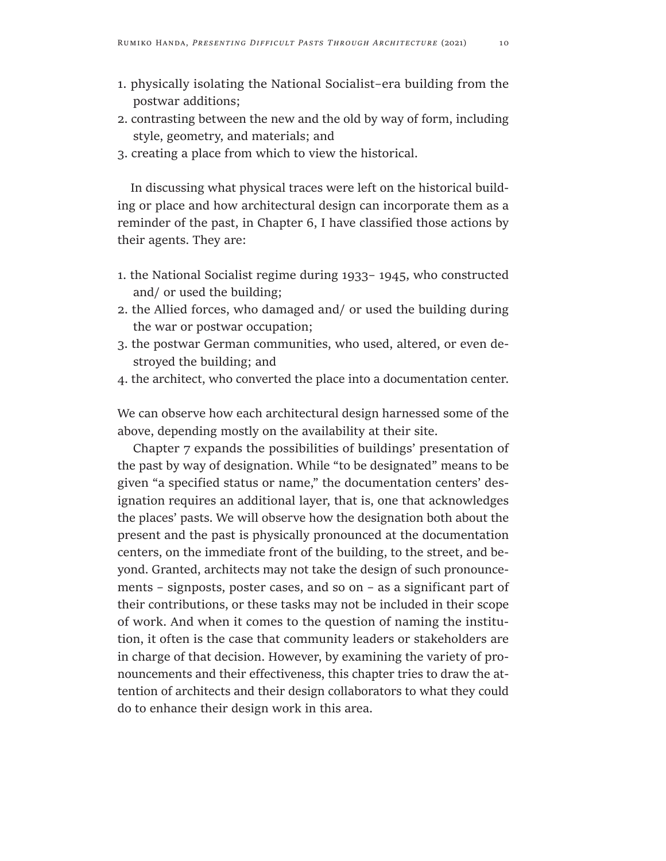- 1. physically isolating the National Socialist–era building from the postwar additions;
- 2. contrasting between the new and the old by way of form, including style, geometry, and materials; and
- 3. creating a place from which to view the historical.

In discussing what physical traces were left on the historical building or place and how architectural design can incorporate them as a reminder of the past, in Chapter 6, I have classified those actions by their agents. They are:

- 1. the National Socialist regime during 1933– 1945, who constructed and/ or used the building;
- 2. the Allied forces, who damaged and/ or used the building during the war or postwar occupation;
- 3. the postwar German communities, who used, altered, or even destroyed the building; and
- 4. the architect, who converted the place into a documentation center.

We can observe how each architectural design harnessed some of the above, depending mostly on the availability at their site.

Chapter 7 expands the possibilities of buildings' presentation of the past by way of designation. While "to be designated" means to be given "a specified status or name," the documentation centers' designation requires an additional layer, that is, one that acknowledges the places' pasts. We will observe how the designation both about the present and the past is physically pronounced at the documentation centers, on the immediate front of the building, to the street, and beyond. Granted, architects may not take the design of such pronouncements – signposts, poster cases, and so on – as a significant part of their contributions, or these tasks may not be included in their scope of work. And when it comes to the question of naming the institution, it often is the case that community leaders or stakeholders are in charge of that decision. However, by examining the variety of pronouncements and their effectiveness, this chapter tries to draw the attention of architects and their design collaborators to what they could do to enhance their design work in this area.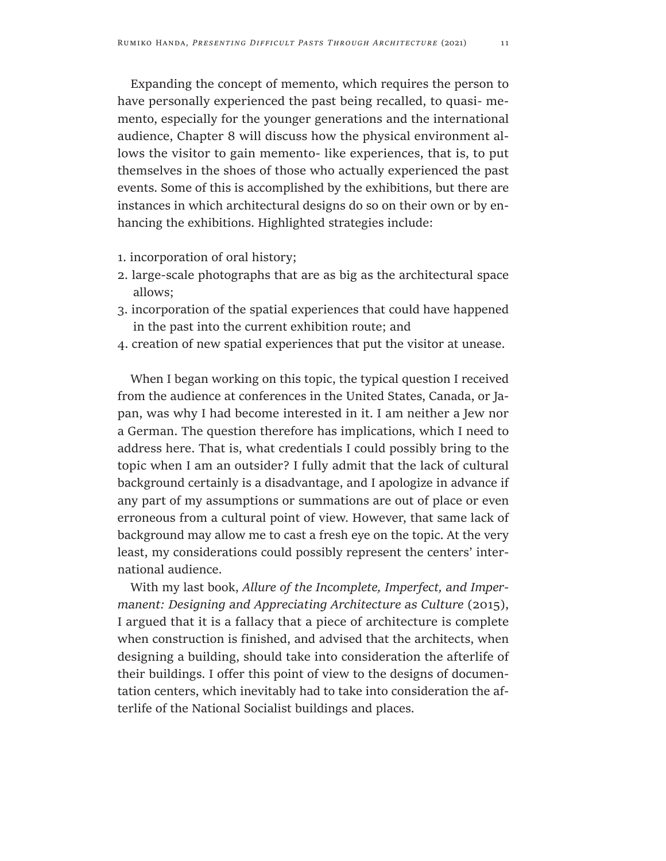Expanding the concept of memento, which requires the person to have personally experienced the past being recalled, to quasi- memento, especially for the younger generations and the international audience, Chapter 8 will discuss how the physical environment allows the visitor to gain memento- like experiences, that is, to put themselves in the shoes of those who actually experienced the past events. Some of this is accomplished by the exhibitions, but there are instances in which architectural designs do so on their own or by enhancing the exhibitions. Highlighted strategies include:

- 1. incorporation of oral history;
- 2. large-scale photographs that are as big as the architectural space allows;
- 3. incorporation of the spatial experiences that could have happened in the past into the current exhibition route; and
- 4. creation of new spatial experiences that put the visitor at unease.

When I began working on this topic, the typical question I received from the audience at conferences in the United States, Canada, or Japan, was why I had become interested in it. I am neither a Jew nor a German. The question therefore has implications, which I need to address here. That is, what credentials I could possibly bring to the topic when I am an outsider? I fully admit that the lack of cultural background certainly is a disadvantage, and I apologize in advance if any part of my assumptions or summations are out of place or even erroneous from a cultural point of view. However, that same lack of background may allow me to cast a fresh eye on the topic. At the very least, my considerations could possibly represent the centers' international audience.

With my last book, *Allure of the Incomplete, Imperfect, and Impermanent: Designing and Appreciating Architecture as Culture (2015),* I argued that it is a fallacy that a piece of architecture is complete when construction is finished, and advised that the architects, when designing a building, should take into consideration the afterlife of their buildings. I offer this point of view to the designs of documentation centers, which inevitably had to take into consideration the afterlife of the National Socialist buildings and places.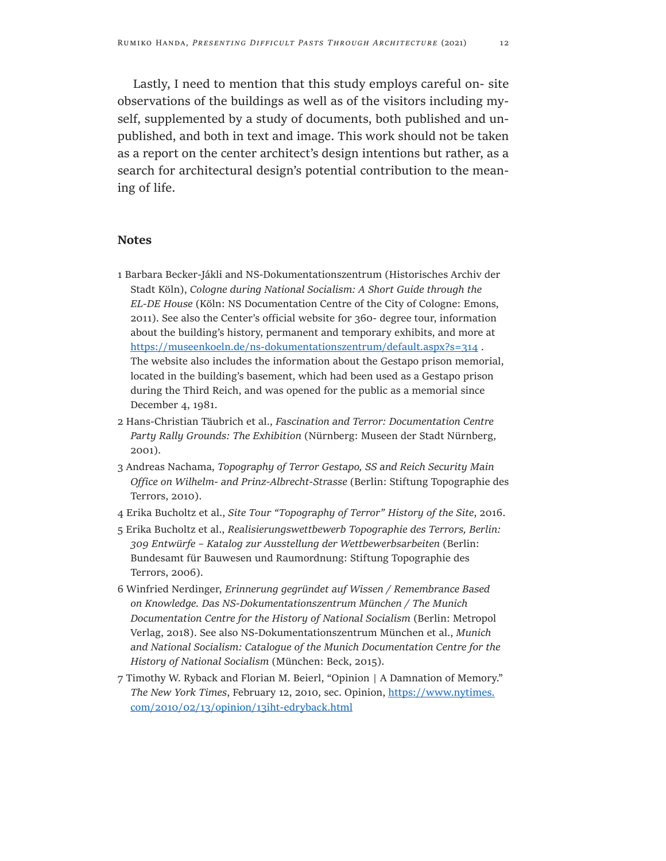Lastly, I need to mention that this study employs careful on- site observations of the buildings as well as of the visitors including myself, supplemented by a study of documents, both published and unpublished, and both in text and image. This work should not be taken as a report on the center architect's design intentions but rather, as a search for architectural design's potential contribution to the meaning of life.

#### **Notes**

- 1 Barbara Becker-Jákli and NS-Dokumentationszentrum (Historisches Archiv der Stadt Köln), *Cologne during National Socialism: A Short Guide through the EL-DE House* (Köln: NS Documentation Centre of the City of Cologne: Emons, 2011). See also the Center's official website for 360- degree tour, information about the building's history, permanent and temporary exhibits, and more at <https://museenkoeln.de/ns-dokumentationszentrum/default.aspx?s=314>. The website also includes the information about the Gestapo prison memorial, located in the building's basement, which had been used as a Gestapo prison during the Third Reich, and was opened for the public as a memorial since December 4, 1981.
- 2 Hans-Christian Täubrich et al., *Fascination and Terror: Documentation Centre Party Rally Grounds: The Exhibition* (Nürnberg: Museen der Stadt Nürnberg, 2001).
- 3 Andreas Nachama, *Topography of Terror Gestapo, SS and Reich Security Main Office on Wilhelm- and Prinz-Albrecht-Strasse* (Berlin: Stiftung Topographie des Terrors, 2010).
- 4 Erika Bucholtz et al., *Site Tour "Topography of Terror" History of the Site*, 2016.
- 5 Erika Bucholtz et al., *Realisierungswettbewerb Topographie des Terrors, Berlin: 309 Entwürfe – Katalog zur Ausstellung der Wettbewerbsarbeiten* (Berlin: Bundesamt für Bauwesen und Raumordnung: Stiftung Topographie des Terrors, 2006).
- 6 Winfried Nerdinger, *Erinnerung gegründet auf Wissen / Remembrance Based on Knowledge. Das NS-Dokumentationszentrum München / The Munich Documentation Centre for the History of National Socialism* (Berlin: Metropol Verlag, 2018). See also NS-Dokumentationszentrum München et al., *Munich and National Socialism: Catalogue of the Munich Documentation Centre for the History of National Socialism* (München: Beck, 2015).
- 7 Timothy W. Ryback and Florian M. Beierl, "Opinion | A Damnation of Memory." *The New York Times*, February 12, 2010, sec. Opinion, [https://www.nytimes.](https://www.nytimes.com/2010/02/13/opinion/13iht-edryback.html) [com/2010/02/13/opinion/13iht-edryback.html](https://www.nytimes.com/2010/02/13/opinion/13iht-edryback.html)